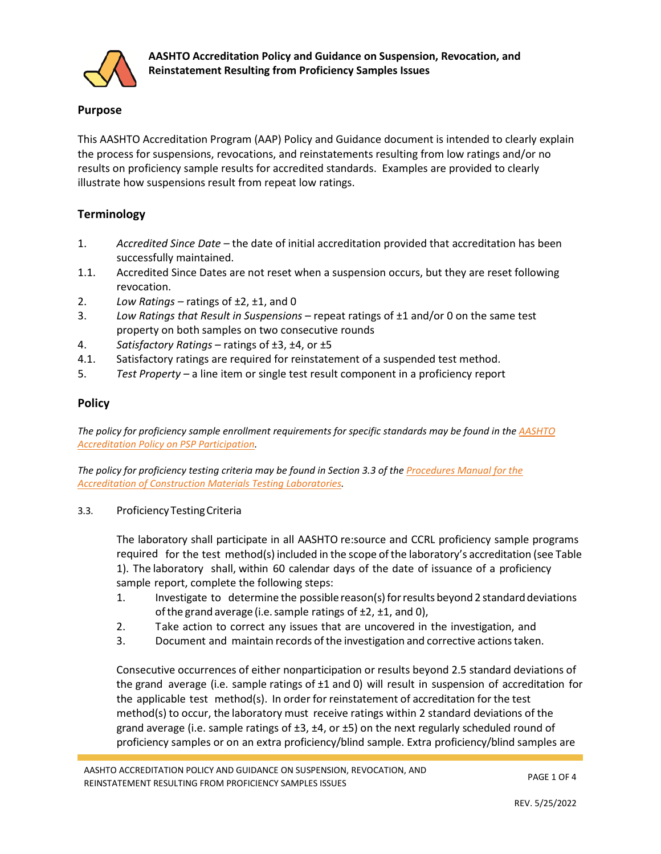

## **Purpose**

This AASHTO Accreditation Program (AAP) Policy and Guidance document is intended to clearly explain the process for suspensions, revocations, and reinstatements resulting from low ratings and/or no results on proficiency sample results for accredited standards. Examples are provided to clearly illustrate how suspensions result from repeat low ratings.

# **Terminology**

- 1. *Accredited Since Date*  the date of initial accreditation provided that accreditation has been successfully maintained.
- 1.1. Accredited Since Dates are not reset when a suspension occurs, but they are reset following revocation.
- 2. *Low Ratings –* ratings of ±2, ±1, and 0
- 3. *Low Ratings that Result in Suspensions –* repeat ratings of ±1 and/or 0 on the same test property on both samples on two consecutive rounds
- 4. *Satisfactory Ratings –* ratings of ±3, ±4, or ±5
- 4.1. Satisfactory ratings are required for reinstatement of a suspended test method.
- 5. *Test Property –* a line item or single test result component in a proficiency report

# **Policy**

*The policy for proficiency sample enrollment requirements for specific standards may be found in th[e AASHTO](http://www.aashtoresource.org/docs/default-source/publicdocuments/aap-rules-for-psp-participation.pdf?sfvrsn=45)  [Accreditation Policy on PSP Participation.](http://www.aashtoresource.org/docs/default-source/publicdocuments/aap-rules-for-psp-participation.pdf?sfvrsn=45)*

*The policy for proficiency testing criteria may be found in Section 3.3 of th[e Procedures Manual for the](http://aashtoresource.org/docs/default-source/publicdocuments/aap-procedures-manual.pdf)  [Accreditation of Construction Materials Testing Laboratories.](http://aashtoresource.org/docs/default-source/publicdocuments/aap-procedures-manual.pdf)*

3.3. ProficiencyTestingCriteria

The laboratory shall participate in all AASHTO re:source and CCRL proficiency sample programs required for the test method(s) included in the scope ofthe laboratory's accreditation (see Table 1). The laboratory shall, within 60 calendar days of the date of issuance of a proficiency sample report, complete the following steps:

- 1. Investigate to determine the possible reason(s)forresults beyond 2 standarddeviations of the grand average (i.e. sample ratings of ±2, ±1, and 0),
- 2. Take action to correct any issues that are uncovered in the investigation, and
- 3. Document and maintain records ofthe investigation and corrective actionstaken.

Consecutive occurrences of either nonparticipation or results beyond 2.5 standard deviations of the grand average (i.e. sample ratings of  $\pm 1$  and 0) will result in suspension of accreditation for the applicable test method(s). In order for reinstatement of accreditation for the test method(s) to occur, the laboratory must receive ratings within 2 standard deviations of the grand average (i.e. sample ratings of  $\pm 3$ ,  $\pm 4$ , or  $\pm 5$ ) on the next regularly scheduled round of proficiency samples or on an extra proficiency/blind sample. Extra proficiency/blind samples are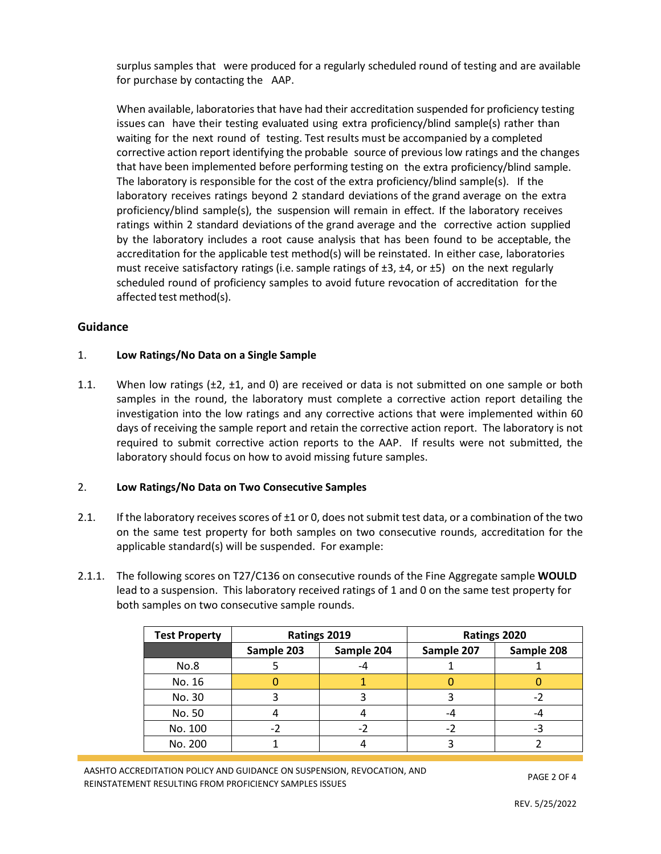surplus samples that were produced for a regularly scheduled round of testing and are available for purchase by contacting the AAP.

When available, laboratories that have had their accreditation suspended for proficiency testing issues can have their testing evaluated using extra proficiency/blind sample(s) rather than waiting for the next round of testing. Test results must be accompanied by a completed corrective action report identifying the probable source of previous low ratings and the changes that have been implemented before performing testing on the extra proficiency/blind sample. The laboratory is responsible for the cost of the extra proficiency/blind sample(s). If the laboratory receives ratings beyond 2 standard deviations of the grand average on the extra proficiency/blind sample(s), the suspension will remain in effect. If the laboratory receives ratings within 2 standard deviations of the grand average and the corrective action supplied by the laboratory includes a root cause analysis that has been found to be acceptable, the accreditation for the applicable test method(s) will be reinstated. In either case, laboratories must receive satisfactory ratings (i.e. sample ratings of  $\pm 3$ ,  $\pm 4$ , or  $\pm 5$ ) on the next regularly scheduled round of proficiency samples to avoid future revocation of accreditation forthe affected test method(s).

### **Guidance**

#### 1. **Low Ratings/No Data on a Single Sample**

1.1. When low ratings (±2, ±1, and 0) are received or data is not submitted on one sample or both samples in the round, the laboratory must complete a corrective action report detailing the investigation into the low ratings and any corrective actions that were implemented within 60 days of receiving the sample report and retain the corrective action report. The laboratory is not required to submit corrective action reports to the AAP. If results were not submitted, the laboratory should focus on how to avoid missing future samples.

#### 2. **Low Ratings/No Data on Two Consecutive Samples**

- 2.1. If the laboratory receives scores of  $\pm 1$  or 0, does not submit test data, or a combination of the two on the same test property for both samples on two consecutive rounds, accreditation for the applicable standard(s) will be suspended. For example:
- 2.1.1. The following scores on T27/C136 on consecutive rounds of the Fine Aggregate sample **WOULD** lead to a suspension. This laboratory received ratings of 1 and 0 on the same test property for both samples on two consecutive sample rounds.

| <b>Test Property</b> | Ratings 2019 |            | Ratings 2020 |            |
|----------------------|--------------|------------|--------------|------------|
|                      | Sample 203   | Sample 204 | Sample 207   | Sample 208 |
| No.8                 |              | -4         |              |            |
| No. 16               |              |            |              |            |
| No. 30               |              |            |              |            |
| No. 50               |              |            | -4           | -4         |
| No. 100              | -2           |            | -2           |            |
| No. 200              |              |            |              |            |

AASHTO ACCREDITATION POLICY AND GUIDANCE ON SUSPENSION, REVOCATION, AND REINSTATEMENT RESULTING FROM PROFICIENCY SAMPLES ISSUES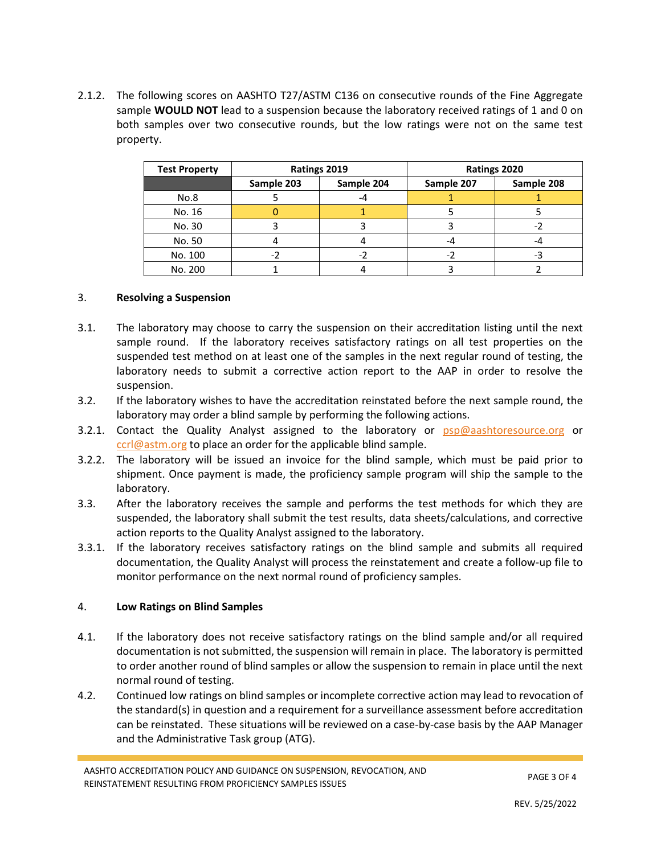2.1.2. The following scores on AASHTO T27/ASTM C136 on consecutive rounds of the Fine Aggregate sample **WOULD NOT** lead to a suspension because the laboratory received ratings of 1 and 0 on both samples over two consecutive rounds, but the low ratings were not on the same test property.

| <b>Test Property</b> | Ratings 2019 |            | Ratings 2020 |            |
|----------------------|--------------|------------|--------------|------------|
|                      | Sample 203   | Sample 204 | Sample 207   | Sample 208 |
| No.8                 |              | -4         |              |            |
| No. 16               |              |            |              |            |
| No. 30               |              |            |              |            |
| No. 50               |              |            | -4           |            |
| No. 100              |              |            |              |            |
| No. 200              |              |            |              |            |

#### <span id="page-2-0"></span>3. **Resolving a Suspension**

- 3.1. The laboratory may choose to carry the suspension on their accreditation listing until the next sample round. If the laboratory receives satisfactory ratings on all test properties on the suspended test method on at least one of the samples in the next regular round of testing, the laboratory needs to submit a corrective action report to the AAP in order to resolve the suspension.
- 3.2. If the laboratory wishes to have the accreditation reinstated before the next sample round, the laboratory may order a blind sample by performing the following actions.
- 3.2.1. Contact the Quality Analyst assigned to the laboratory or [psp@aashtoresource.org](mailto:psp@aashtoresource.org) or [ccrl@astm.org](mailto:ccrl@astm.org) to place an order for the applicable blind sample.
- 3.2.2. The laboratory will be issued an invoice for the blind sample, which must be paid prior to shipment. Once payment is made, the proficiency sample program will ship the sample to the laboratory.
- 3.3. After the laboratory receives the sample and performs the test methods for which they are suspended, the laboratory shall submit the test results, data sheets/calculations, and corrective action reports to the Quality Analyst assigned to the laboratory.
- 3.3.1. If the laboratory receives satisfactory ratings on the blind sample and submits all required documentation, the Quality Analyst will process the reinstatement and create a follow-up file to monitor performance on the next normal round of proficiency samples.

#### 4. **Low Ratings on Blind Samples**

- 4.1. If the laboratory does not receive satisfactory ratings on the blind sample and/or all required documentation is not submitted, the suspension will remain in place. The laboratory is permitted to order another round of blind samples or allow the suspension to remain in place until the next normal round of testing.
- 4.2. Continued low ratings on blind samples or incomplete corrective action may lead to revocation of the standard(s) in question and a requirement for a surveillance assessment before accreditation can be reinstated. These situations will be reviewed on a case-by-case basis by the AAP Manager and the Administrative Task group (ATG).